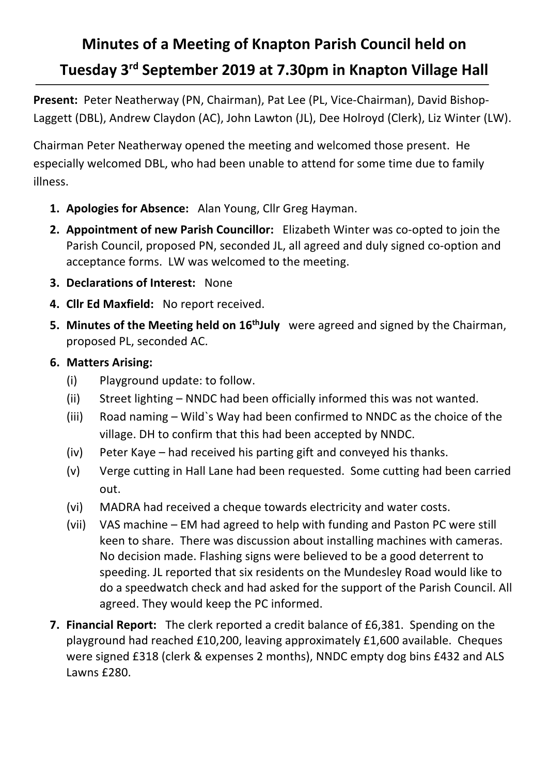## **Minutes of a Meeting of Knapton Parish Council held on Tuesday 3rd September 2019 at 7.30pm in Knapton Village Hall**

**Present:** Peter Neatherway (PN, Chairman), Pat Lee (PL, Vice-Chairman), David Bishop-Laggett (DBL), Andrew Claydon (AC), John Lawton (JL), Dee Holroyd (Clerk), Liz Winter (LW).

Chairman Peter Neatherway opened the meeting and welcomed those present. He especially welcomed DBL, who had been unable to attend for some time due to family illness.

- **1. Apologies for Absence:** Alan Young, Cllr Greg Hayman.
- **2. Appointment of new Parish Councillor:** Elizabeth Winter was co-opted to join the Parish Council, proposed PN, seconded JL, all agreed and duly signed co-option and acceptance forms. LW was welcomed to the meeting.
- **3. Declarations of Interest:** None
- **4. Cllr Ed Maxfield:** No report received.
- **5. Minutes of the Meeting held on 16<sup>th</sup>July** were agreed and signed by the Chairman, proposed PL, seconded AC.
- **6. Matters Arising:**
	- (i) Playground update: to follow.
	- (ii) Street lighting NNDC had been officially informed this was not wanted.
	- (iii) Road naming Wild`s Way had been confirmed to NNDC as the choice of the village. DH to confirm that this had been accepted by NNDC.
	- (iv) Peter Kaye had received his parting gift and conveyed his thanks.
	- (v) Verge cutting in Hall Lane had been requested. Some cutting had been carried out.
	- (vi) MADRA had received a cheque towards electricity and water costs.
	- (vii) VAS machine EM had agreed to help with funding and Paston PC were still keen to share. There was discussion about installing machines with cameras. No decision made. Flashing signs were believed to be a good deterrent to speeding. JL reported that six residents on the Mundesley Road would like to do a speedwatch check and had asked for the support of the Parish Council. All agreed. They would keep the PC informed.
- **7. Financial Report:** The clerk reported a credit balance of £6,381. Spending on the playground had reached £10,200, leaving approximately £1,600 available. Cheques were signed £318 (clerk & expenses 2 months), NNDC empty dog bins £432 and ALS Lawns £280.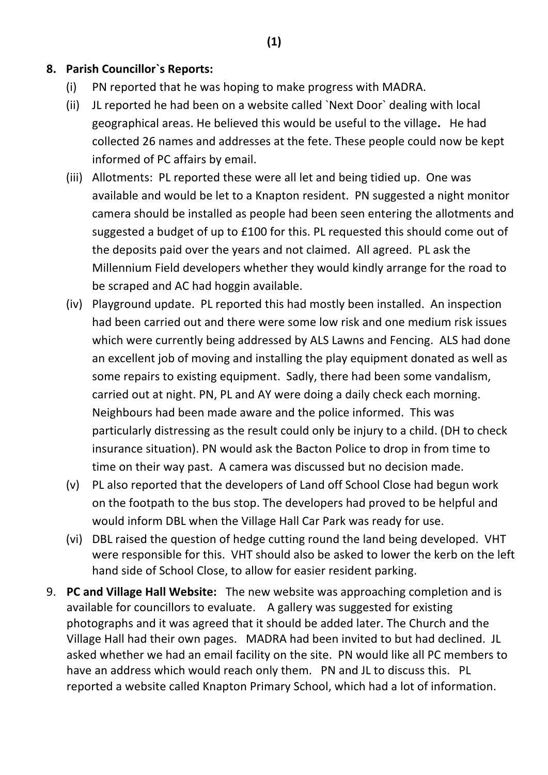## **8. Parish Councillor`s Reports:**

- (i) PN reported that he was hoping to make progress with MADRA.
- (ii) JL reported he had been on a website called `Next Door` dealing with local geographical areas. He believed this would be useful to the village**.** He had collected 26 names and addresses at the fete. These people could now be kept informed of PC affairs by email.
- (iii) Allotments: PL reported these were all let and being tidied up. One was available and would be let to a Knapton resident. PN suggested a night monitor camera should be installed as people had been seen entering the allotments and suggested a budget of up to £100 for this. PL requested this should come out of the deposits paid over the years and not claimed. All agreed. PL ask the Millennium Field developers whether they would kindly arrange for the road to be scraped and AC had hoggin available.
- (iv) Playground update. PL reported this had mostly been installed. An inspection had been carried out and there were some low risk and one medium risk issues which were currently being addressed by ALS Lawns and Fencing. ALS had done an excellent job of moving and installing the play equipment donated as well as some repairs to existing equipment. Sadly, there had been some vandalism, carried out at night. PN, PL and AY were doing a daily check each morning. Neighbours had been made aware and the police informed. This was particularly distressing as the result could only be injury to a child. (DH to check insurance situation). PN would ask the Bacton Police to drop in from time to time on their way past. A camera was discussed but no decision made.
- (v) PL also reported that the developers of Land off School Close had begun work on the footpath to the bus stop. The developers had proved to be helpful and would inform DBL when the Village Hall Car Park was ready for use.
- (vi) DBL raised the question of hedge cutting round the land being developed. VHT were responsible for this. VHT should also be asked to lower the kerb on the left hand side of School Close, to allow for easier resident parking.
- 9. **PC and Village Hall Website:** The new website was approaching completion and is available for councillors to evaluate. A gallery was suggested for existing photographs and it was agreed that it should be added later. The Church and the Village Hall had their own pages. MADRA had been invited to but had declined. JL asked whether we had an email facility on the site. PN would like all PC members to have an address which would reach only them. PN and JL to discuss this. PL reported a website called Knapton Primary School, which had a lot of information.